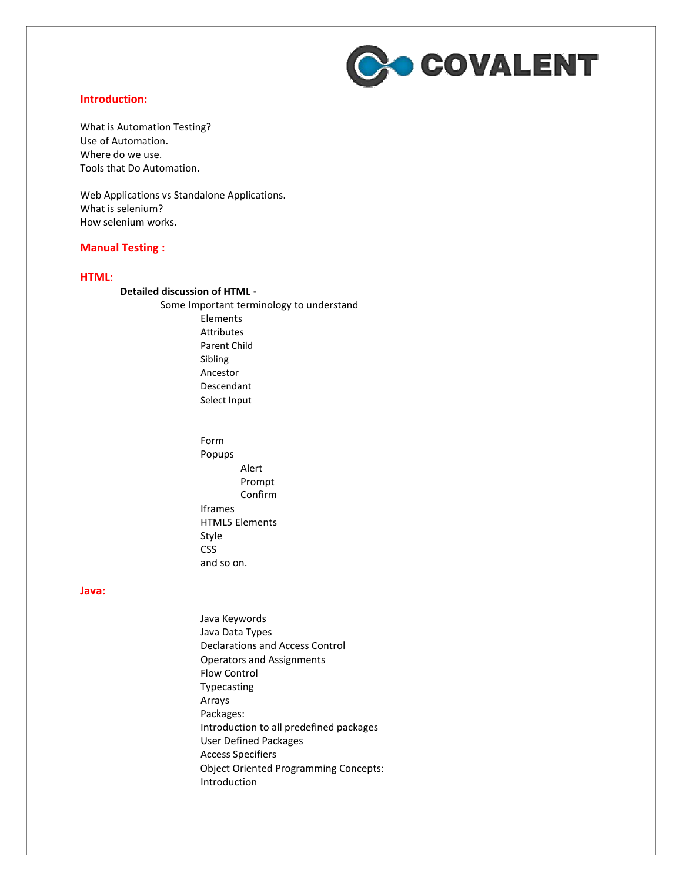

### **Introduction:**

What is Automation Testing? Use of Automation. Where do we use. Tools that Do Automation.

Web Applications vs Standalone Applications. What is selenium? How selenium works.

### **Manual Testing :**

#### **HTML**:

#### **Detailed discussion of HTML -**

Some Important terminology to understand Elements Attributes Parent Child Sibling Ancestor Descendant Select Input

> Form Popups Alert Prompt Confirm Iframes HTML5 Elements Style **CSS** and so on.

### **Java:**

Java Keywords Java Data Types Declarations and Access Control Operators and Assignments Flow Control Typecasting Arrays Packages: Introduction to all predefined packages User Defined Packages Access Specifiers Object Oriented Programming Concepts: Introduction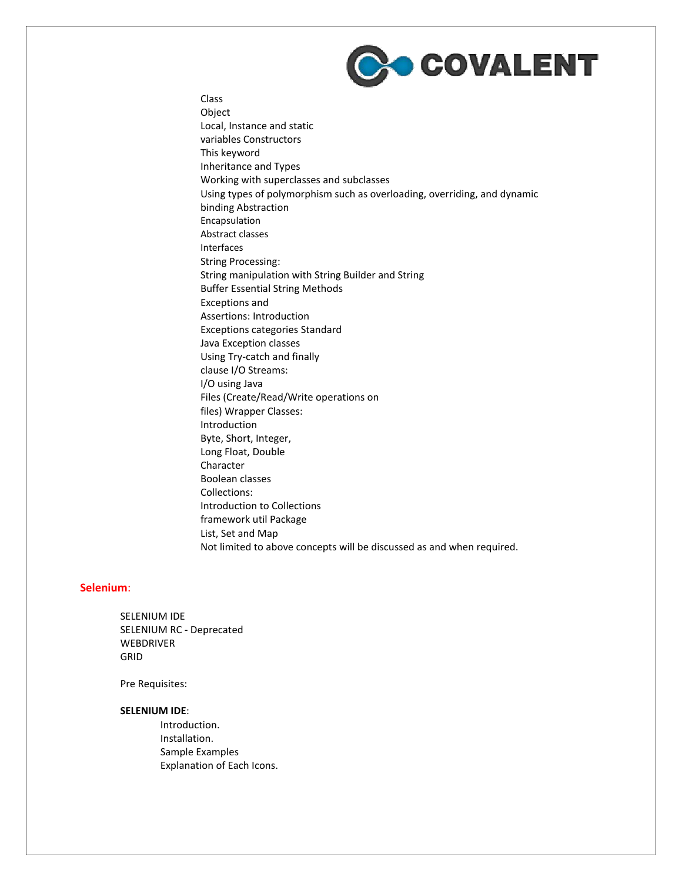

Class **Object** Local, Instance and static variables Constructors This keyword Inheritance and Types Working with superclasses and subclasses Using types of polymorphism such as overloading, overriding, and dynamic binding Abstraction Encapsulation Abstract classes Interfaces String Processing: String manipulation with String Builder and String Buffer Essential String Methods Exceptions and Assertions: Introduction Exceptions categories Standard Java Exception classes Using Try-catch and finally clause I/O Streams: I/O using Java Files (Create/Read/Write operations on files) Wrapper Classes: Introduction Byte, Short, Integer, Long Float, Double Character Boolean classes Collections: Introduction to Collections framework util Package List, Set and Map Not limited to above concepts will be discussed as and when required.

# **Selenium**:

SELENIUM IDE SELENIUM RC - Deprecated WEBDRIVER GRID

Pre Requisites:

#### **SELENIUM IDE**:

Introduction. Installation. Sample Examples Explanation of Each Icons.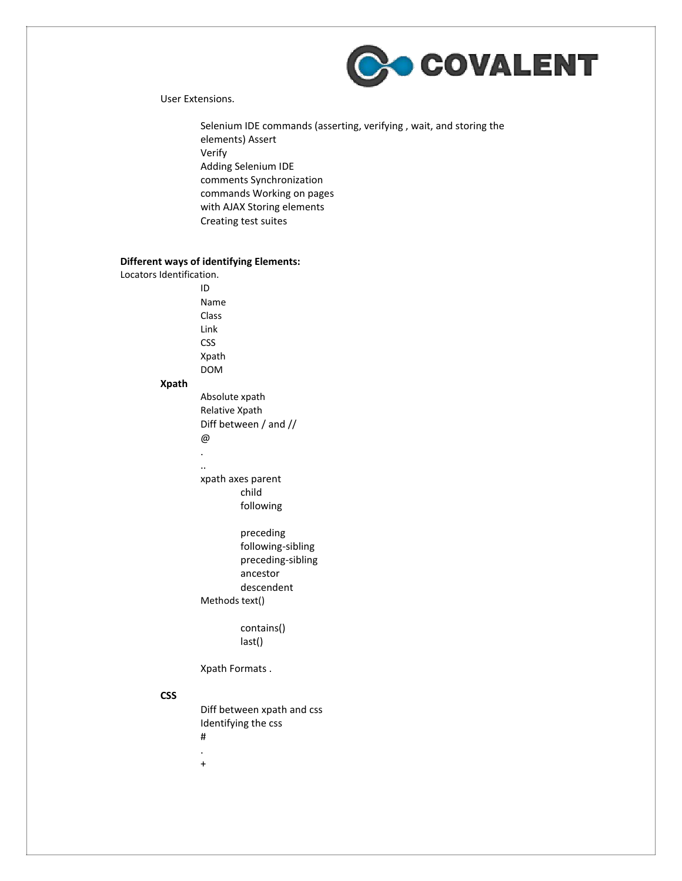

### User Extensions.

Selenium IDE commands (asserting, verifying , wait, and storing the elements) Assert Verify Adding Selenium IDE comments Synchronization commands Working on pages with AJAX Storing elements Creating test suites

# **Different ways of identifying Elements:**

Locators Identification. ID Name Class Link CSS Xpath DOM **Xpath** Absolute xpath Relative Xpath Diff between / and // @ . .. xpath axes parent child following preceding following-sibling preceding-sibling ancestor descendent Methods text() contains() last() Xpath Formats .

# **CSS**

Diff between xpath and css Identifying the css #

- . +
-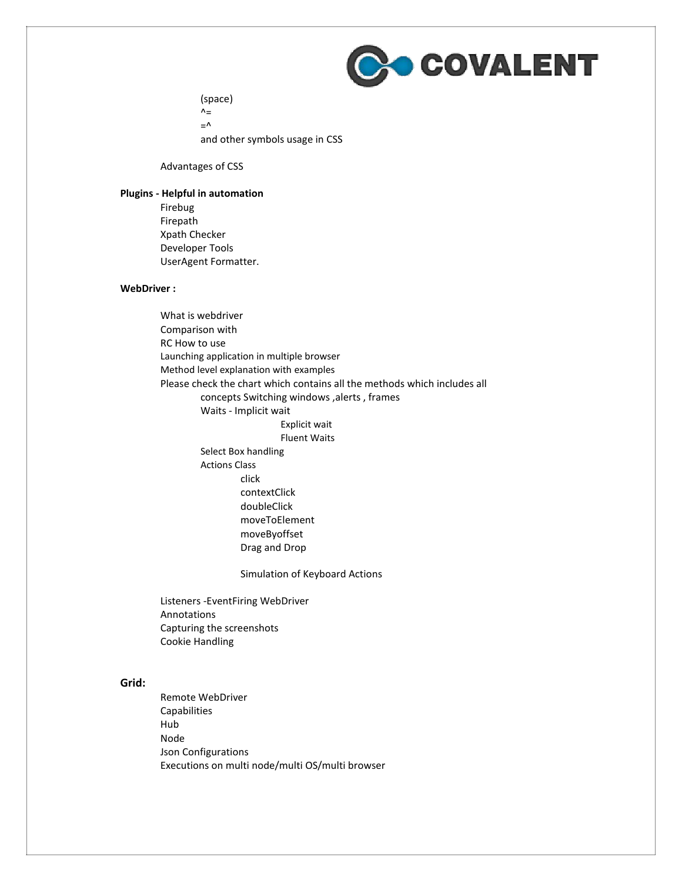

(space)  $\mathsf{A}_{\equiv}$  $\equiv$  ^ and other symbols usage in CSS

Advantages of CSS

### **Plugins - Helpful in automation**

Firebug Firepath Xpath Checker Developer Tools UserAgent Formatter.

# **WebDriver :**

What is webdriver Comparison with RC How to use Launching application in multiple browser Method level explanation with examples Please check the chart which contains all the methods which includes all concepts Switching windows ,alerts , frames Waits - Implicit wait Explicit wait Fluent Waits Select Box handling Actions Class click contextClick doubleClick moveToElement moveByoffset Drag and Drop

Simulation of Keyboard Actions

Listeners -EventFiring WebDriver Annotations Capturing the screenshots Cookie Handling

# **Grid:**

Remote WebDriver **Capabilities** Hub Node Json Configurations Executions on multi node/multi OS/multi browser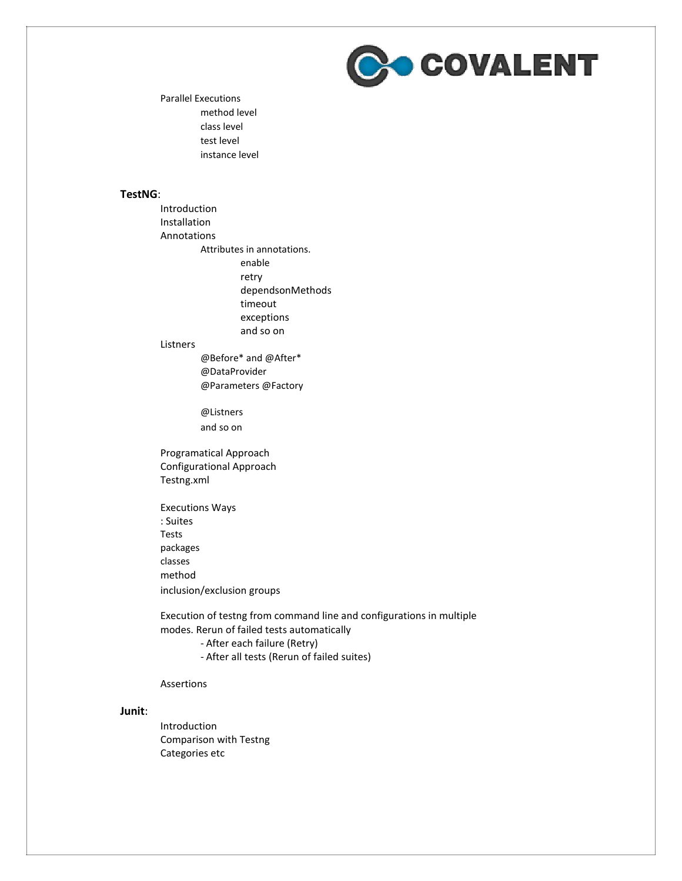

Parallel Executions method level class level test level instance level

### **TestNG**:

Introduction Installation Annotations Attributes in annotations. enable retry dependsonMethods timeout exceptions and so on

#### Listners

@Before\* and @After\* @DataProvider @Parameters @Factory

@Listners and so on

Programatical Approach Configurational Approach Testng.xml

Executions Ways : Suites Tests packages classes method inclusion/exclusion groups

Execution of testng from command line and configurations in multiple modes. Rerun of failed tests automatically

- After each failure (Retry)

- After all tests (Rerun of failed suites)

#### Assertions

#### **Junit**:

Introduction Comparison with Testng Categories etc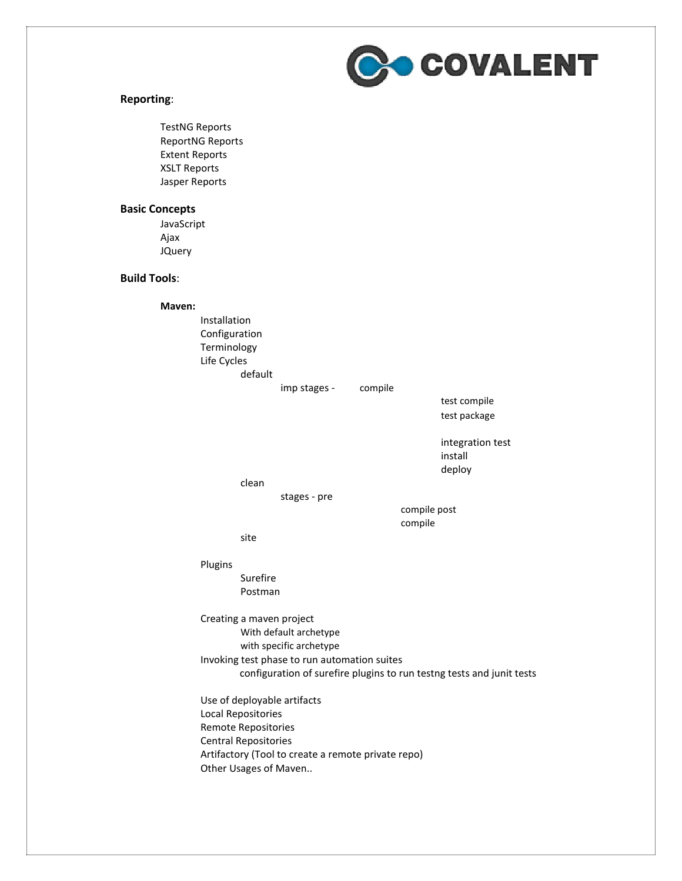

### **Reporting**:

TestNG Reports ReportNG Reports Extent Reports XSLT Reports Jasper Reports

# **Basic Concepts**

JavaScript Ajax JQuery

# **Build Tools**:

**Maven:**

Installation Configuration Terminology Life Cycles default imp stages - compile test compile test package integration test install deploy clean stages - pre compile post compile site Plugins Surefire Postman Creating a maven project With default archetype with specific archetype Invoking test phase to run automation suites configuration of surefire plugins to run testng tests and junit tests Use of deployable artifacts Local Repositories Remote Repositories Central Repositories Artifactory (Tool to create a remote private repo) Other Usages of Maven..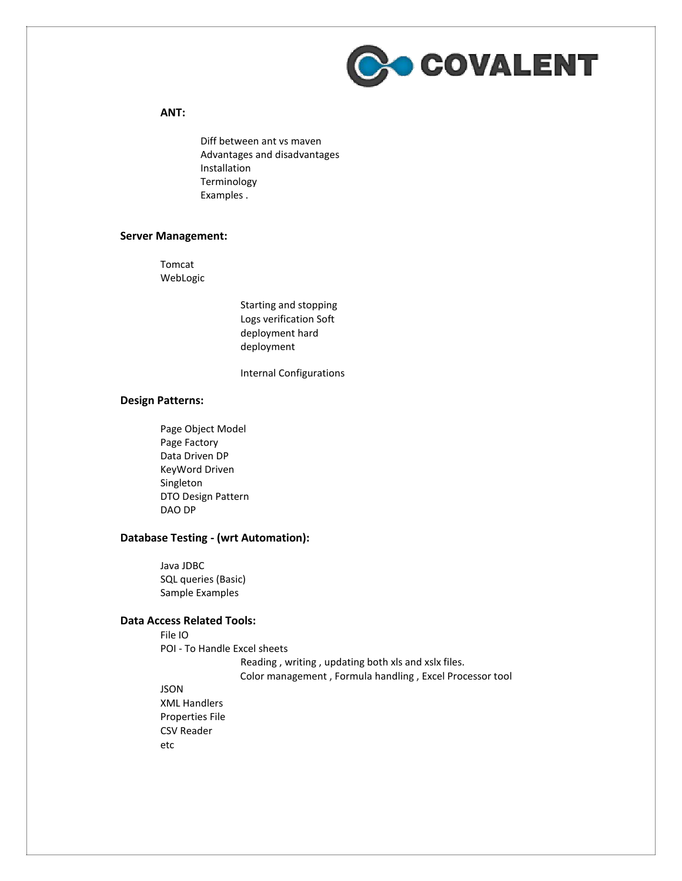

# **ANT:**

Diff between ant vs maven Advantages and disadvantages Installation Terminology Examples .

### **Server Management:**

Tomcat WebLogic

> Starting and stopping Logs verification Soft deployment hard deployment

Internal Configurations

# **Design Patterns:**

Page Object Model Page Factory Data Driven DP KeyWord Driven Singleton DTO Design Pattern DAO DP

# **Database Testing - (wrt Automation):**

Java JDBC SQL queries (Basic) Sample Examples

### **Data Access Related Tools:**

File IO POI - To Handle Excel sheets Reading , writing , updating both xls and xslx files. Color management , Formula handling , Excel Processor tool JSON XML Handlers

Properties File CSV Reader etc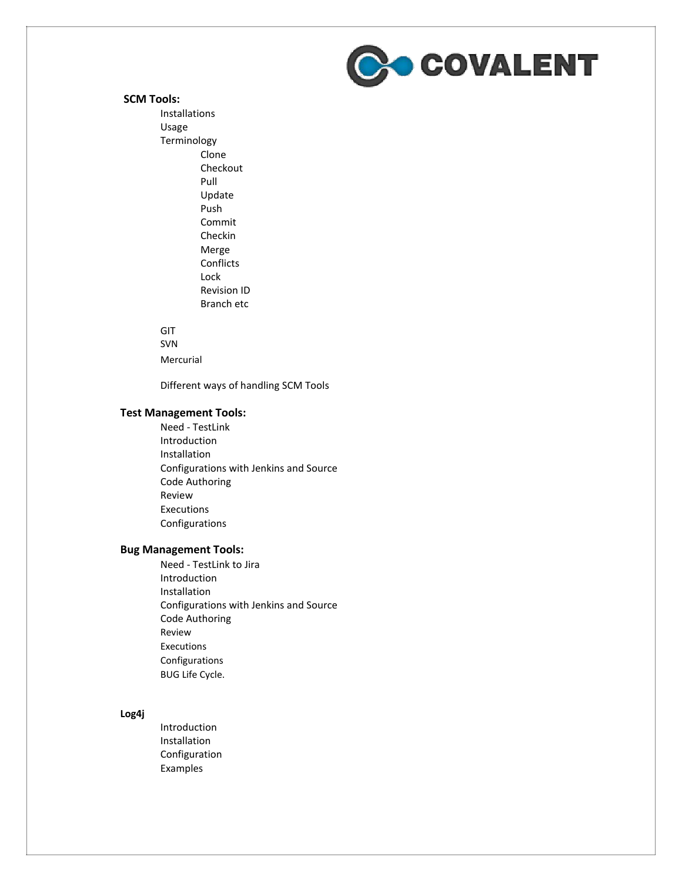

#### **SCM Tools:**

Installations Usage Terminology Clone Checkout Pull Update Push Commit Checkin Merge Conflicts Lock Revision ID Branch etc

#### GIT

SVN

Mercurial

Different ways of handling SCM Tools

# **Test Management Tools:**

Need - TestLink Introduction Installation Configurations with Jenkins and Source Code Authoring Review Executions Configurations

# **Bug Management Tools:**

Need - TestLink to Jira Introduction Installation Configurations with Jenkins and Source Code Authoring Review Executions Configurations BUG Life Cycle.

#### **Log4j**

Introduction Installation Configuration Examples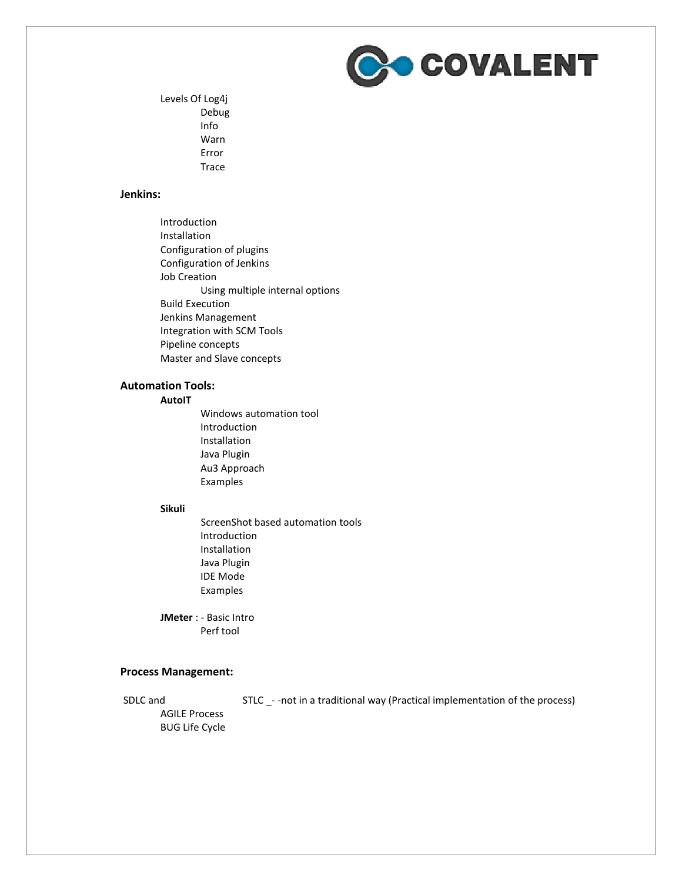

Levels Of Log4j Debug Info Warn Error Trace

### **Jenkins:**

Introduction Installation Configuration of plugins Configuration of Jenkins Job Creation Using multiple internal options Build Execution Jenkins Management Integration with SCM Tools Pipeline concepts Master and Slave concepts

# **Automation Tools:**

# **AutoIT**

Windows automation tool Introduction Installation Java Plugin Au3 Approach Examples

### **Sikuli**

ScreenShot based automation tools Introduction Installation Java Plugin IDE Mode Examples

**JMeter** : - Basic Intro Perf tool

### **Process Management:**

SDLC and STLC \_- -not in a traditional way (Practical implementation of the process)

AGILE Process BUG Life Cycle